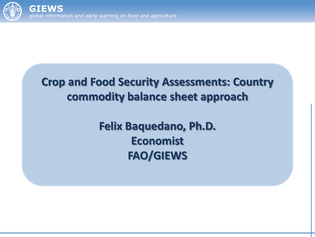

### **Crop and Food Security Assessments: Country commodity balance sheet approach**

**Felix Baquedano, Ph.D. Economist FAO/GIEWS**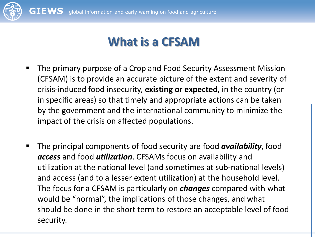

### **What is a CFSAM**

- **The primary purpose of a Crop and Food Security Assessment Mission** (CFSAM) is to provide an accurate picture of the extent and severity of crisis-induced food insecurity, **existing or expected**, in the country (or in specific areas) so that timely and appropriate actions can be taken by the government and the international community to minimize the impact of the crisis on affected populations.
- The principal components of food security are food *availability*, food *access* and food *utilization*. CFSAMs focus on availability and utilization at the national level (and sometimes at sub-national levels) and access (and to a lesser extent utilization) at the household level. The focus for a CFSAM is particularly on *changes* compared with what would be "normal", the implications of those changes, and what should be done in the short term to restore an acceptable level of food security.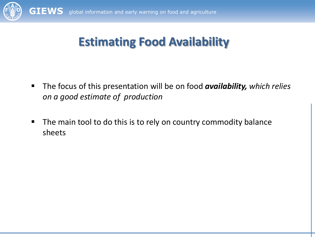

## **Estimating Food Availability**

- The focus of this presentation will be on food *availability, which relies on a good estimate of production*
- **The main tool to do this is to rely on country commodity balance** sheets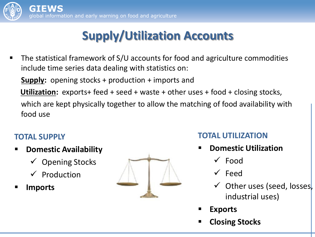# **Supply/Utilization Accounts**

 The statistical framework of S/U accounts for food and agriculture commodities include time series data dealing with statistics on:

**Supply:** opening stocks + production + imports and

-<br>. **Utilization:** exports+ feed + seed + waste + other uses + food + closing stocks,

 which are kept physically together to allow the matching of food availability with food use

#### **TOTAL SUPPLY**

- **Domestic Availability** 
	- $\checkmark$  Opening Stocks
	- $\checkmark$  Production
- **Imports**



#### **TOTAL UTILIZATION**

- **Domestic Utilization** 
	- $\sqrt{\phantom{a}}$ Food
	- $\checkmark$  Feed
	- $\checkmark$  Other uses (seed, losses, industrial uses)
- **Exports**
- **Closing Stocks**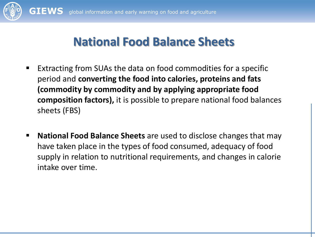

### **National Food Balance Sheets**

- Extracting from SUAs the data on food commodities for a specific period and **converting the food into calories, proteins and fats (commodity by commodity and by applying appropriate food composition factors),** it is possible to prepare national food balances sheets (FBS)
- **National Food Balance Sheets** are used to disclose changes that may have taken place in the types of food consumed, adequacy of food supply in relation to nutritional requirements, and changes in calorie intake over time.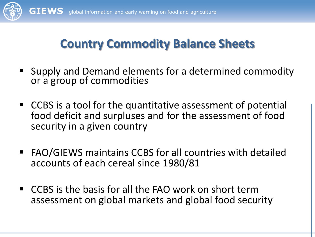

## **Country Commodity Balance Sheets**

- Supply and Demand elements for a determined commodity or a group of commodities
- CCBS is a tool for the quantitative assessment of potential food deficit and surpluses and for the assessment of food security in a given country
- FAO/GIEWS maintains CCBS for all countries with detailed accounts of each cereal since 1980/81
- CCBS is the basis for all the FAO work on short term assessment on global markets and global food security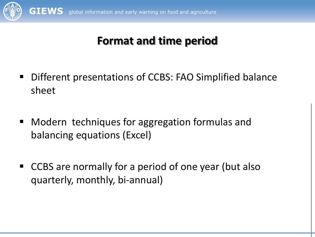

### **Format and time period**

- Different presentations of CCBS: FAO Simplified balance sheet
- Modern techniques for aggregation formulas and balancing equations (Excel)
- CCBS are normally for a period of one year (but also quarterly, monthly, bi-annual)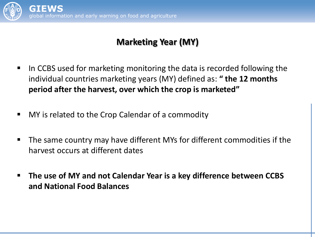

#### **Marketing Year (MY)**

- $\blacksquare$  In CCBS used for marketing monitoring the data is recorded following the individual countries marketing years (MY) defined as: " the 12 months period after the harvest, over which the crop is marketed"
- MY is related to the Crop Calendar of a commodity
- The same country may have different MYs for different commodities if the harvest occurs at different dates
- **The use of MY and not Calendar Year is a key difference between CCBS and National Food Balances**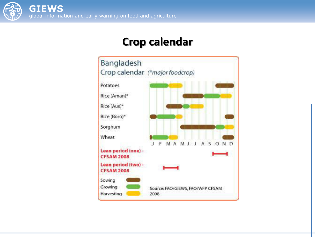

#### **Crop calendar**

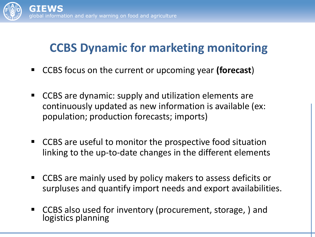

## **CCBS Dynamic for marketing monitoring**

- CCBS focus on the current or upcoming year **(forecast**)
- CCBS are dynamic: supply and utilization elements are continuously updated as new information is available (ex: population; production forecasts; imports)
- CCBS are useful to monitor the prospective food situation linking to the up-to-date changes in the different elements
- CCBS are mainly used by policy makers to assess deficits or surpluses and quantify import needs and export availabilities.
- CCBS also used for inventory (procurement, storage, ) and logistics planning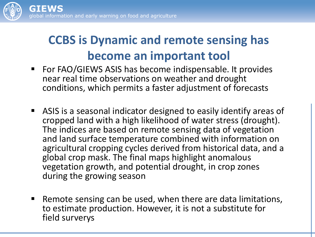

## **CCBS is Dynamic and remote sensing has become an important tool**

- For FAO/GIEWS ASIS has become indispensable. It provides near real time observations on weather and drought conditions, which permits a faster adjustment of forecasts
- ASIS is a seasonal indicator designed to easily identify areas of cropped land with a high likelihood of water stress (drought). The indices are based on remote sensing data of vegetation and land surface temperature combined with information on agricultural cropping cycles derived from historical data, and a global crop mask. The final maps highlight anomalous vegetation growth, and potential drought, in crop zones during the growing season
- Remote sensing can be used, when there are data limitations, to estimate production. However, it is not a substitute for field surverys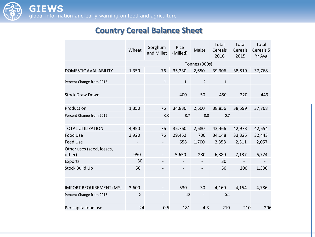

#### **Country Cereal Balance Sheet**

|                                     | Wheat          | Sorghum<br>and Millet | Rice<br>(Milled) | Maize          | Total<br>Cereals<br>2016 | Total<br>Cereals<br>2015 | Total<br>Cereals 5<br>Yr Avg |
|-------------------------------------|----------------|-----------------------|------------------|----------------|--------------------------|--------------------------|------------------------------|
|                                     | Tonnes (000s)  |                       |                  |                |                          |                          |                              |
| DOMESTIC AVAILABILITY               | 1,350          | 76                    | 35,230           | 2,650          | 39,306                   | 38,819                   | 37,768                       |
| Percent Change from 2015            |                | $\mathbf{1}$          | $\mathbf{1}$     | $\overline{2}$ | $\mathbf{1}$             |                          |                              |
| <b>Stock Draw Down</b>              |                |                       | 400              | 50             | 450                      | 220                      | 449                          |
| Production                          | 1,350          | 76                    | 34,830           | 2,600          | 38,856                   | 38,599                   | 37,768                       |
| Percent Change from 2015            |                | 0.0                   | 0.7              | 0.8            | 0.7                      |                          |                              |
| <b>TOTAL UTILIZATION</b>            | 4,950          | 76                    | 35,760           | 2,680          | 43,466                   | 42,973                   | 42,554                       |
| <b>Food Use</b>                     | 3,920          | 76                    | 29,452           | 700            | 34,148                   | 33,325                   | 32,443                       |
| <b>Feed Use</b>                     |                |                       | 658              | 1,700          | 2,358                    | 2,311                    | 2,057                        |
| Other uses (seed, losses,<br>other) | 950            |                       | 5,650            | 280            | 6,880                    | 7,137                    | 6,724                        |
| <b>Exports</b>                      | 30             |                       |                  |                | 30                       |                          |                              |
| <b>Stock Build Up</b>               | 50             |                       |                  |                | 50                       | 200                      | 1,330                        |
| <b>IMPORT REQUIREMENT (MY)</b>      | 3,600          |                       | 530              | 30             | 4,160                    | 4,154                    | 4,786                        |
| Percent Change from 2015            | $\overline{2}$ |                       | $-12$            |                | 0.1                      |                          |                              |
|                                     |                |                       |                  |                |                          |                          |                              |
| Per capita food use                 | 24             | 0.5                   | 181              | 4.3            | 210                      | 210                      | 206                          |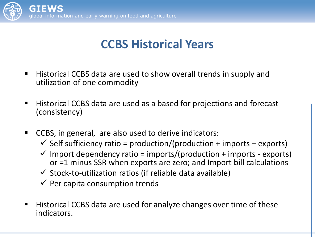

### **CCBS Historical Years**

- Historical CCBS data are used to show overall trends in supply and utilization of one commodity
- Historical CCBS data are used as a based for projections and forecast (consistency)
- CCBS, in general, are also used to derive indicators:
	- $\checkmark$  Self sufficiency ratio = production/(production + imports exports)
	- $\checkmark$  Import dependency ratio = imports/(production + imports exports) or =1 minus SSR when exports are zero; and Import bill calculations
	- $\checkmark$  Stock-to-utilization ratios (if reliable data available)
	- $\checkmark$  Per capita consumption trends
- Historical CCBS data are used for analyze changes over time of these indicators.